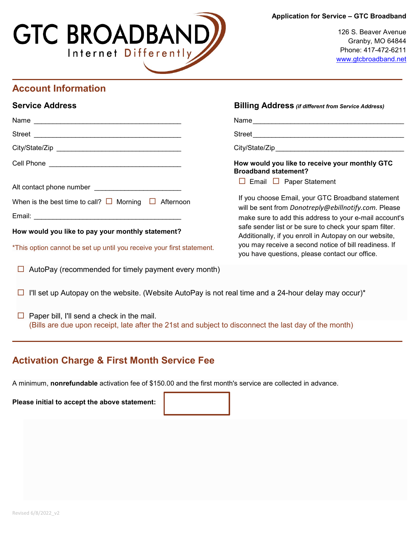#### **Application for Service – GTC Broadband**



126 S. Beaver Avenue Granby, MO 64844 Phone: 417-472-6211 [www.gtcbroadband.net](http://www.gtcbroadband.net/)

# **Account Information**

| <b>Service Address</b> | <b>Billing Address</b> (if different from Service Address) |
|------------------------|------------------------------------------------------------|

| Street                                                                | Street                                                                                                           |
|-----------------------------------------------------------------------|------------------------------------------------------------------------------------------------------------------|
|                                                                       |                                                                                                                  |
|                                                                       | How would you like to receive your monthly GTC<br><b>Broadband statement?</b>                                    |
|                                                                       | $\Box$ Email $\Box$ Paper Statement                                                                              |
| When is the best time to call? $\Box$ Morning $\Box$ Afternoon        | If you choose Email, your GTC Broadband statement                                                                |
|                                                                       | will be sent from Donotreply@ebillnotify.com. Please<br>make sure to add this address to your e-mail account's   |
| How would you like to pay your monthly statement?                     | safe sender list or be sure to check your spam filter.<br>Additionally, if you enroll in Autopay on our website, |
| *This option cannot be set up until you receive your first statement. | you may receive a second notice of bill readiness. If<br>you have questions, please contact our office.          |
| $\Box$ AutoPay (recommended for timely payment every month)           |                                                                                                                  |

- $\Box$  I'll set up Autopay on the website. (Website AutoPay is not real time and a 24-hour delay may occur)\*
- (Bills are due upon receipt, late after the 21st and subject to disconnect the last day of the month)  $\Box$  Paper bill, I'll send a check in the mail.

# **Activation Charge & First Month Service Fee**

A minimum, **nonrefundable** activation fee of \$150.00 and the first month's service are collected in advance.

**Please initial to accept the above statement:**

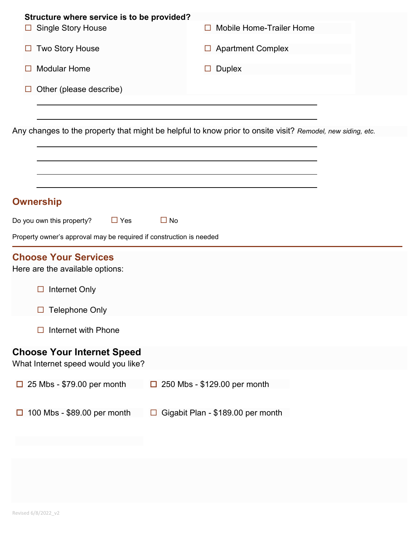| $\Box$ | Structure where service is to be provided?<br><b>Single Story House</b>                                    |           | П      |                              | <b>Mobile Home-Trailer Home</b>   |  |  |
|--------|------------------------------------------------------------------------------------------------------------|-----------|--------|------------------------------|-----------------------------------|--|--|
| ப      | <b>Two Story House</b>                                                                                     |           | $\Box$ |                              | <b>Apartment Complex</b>          |  |  |
|        | <b>Modular Home</b>                                                                                        |           | $\Box$ | <b>Duplex</b>                |                                   |  |  |
|        | Other (please describe)                                                                                    |           |        |                              |                                   |  |  |
|        |                                                                                                            |           |        |                              |                                   |  |  |
|        | Any changes to the property that might be helpful to know prior to onsite visit? Remodel, new siding, etc. |           |        |                              |                                   |  |  |
|        |                                                                                                            |           |        |                              |                                   |  |  |
|        |                                                                                                            |           |        |                              |                                   |  |  |
|        | <b>Ownership</b>                                                                                           |           |        |                              |                                   |  |  |
|        | Do you own this property?<br>$\Box$ Yes                                                                    | $\Box$ No |        |                              |                                   |  |  |
|        | Property owner's approval may be required if construction is needed                                        |           |        |                              |                                   |  |  |
|        | <b>Choose Your Services</b><br>Here are the available options:                                             |           |        |                              |                                   |  |  |
|        | Internet Only<br>□                                                                                         |           |        |                              |                                   |  |  |
|        | <b>Telephone Only</b><br>$\Box$                                                                            |           |        |                              |                                   |  |  |
|        | Internet with Phone                                                                                        |           |        |                              |                                   |  |  |
|        | <b>Choose Your Internet Speed</b><br>What Internet speed would you like?                                   |           |        |                              |                                   |  |  |
| $\Box$ | 25 Mbs - \$79.00 per month                                                                                 | $\Box$    |        | 250 Mbs - \$129.00 per month |                                   |  |  |
|        | 100 Mbs - \$89.00 per month                                                                                |           |        |                              | Gigabit Plan - \$189.00 per month |  |  |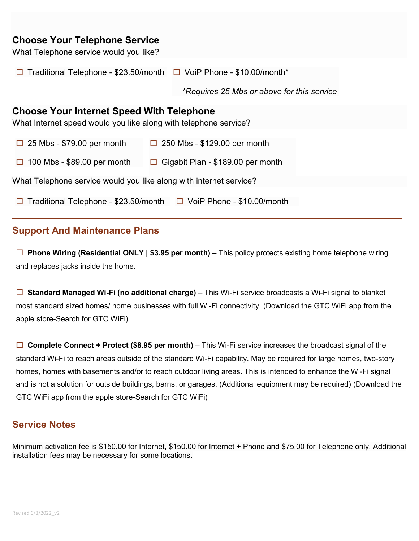# **Choose Your Telephone Service**

| What Telephone service would you like?                                          |                                                   |
|---------------------------------------------------------------------------------|---------------------------------------------------|
| $\Box$ Traditional Telephone - \$23.50/month $\Box$ VoiP Phone - \$10.00/month* |                                                   |
|                                                                                 | <i>*Requires 25 Mbs or above for this service</i> |
| <b>Choose Your Internet Speed With Telephone</b>                                |                                                   |
| What Internet speed would you like along with telephone service?                |                                                   |
| $\Box$ 25 Mbs - \$79.00 per month                                               | $\Box$ 250 Mbs - \$129.00 per month               |
| $\Box$ 100 Mbs - \$89.00 per month<br>□                                         | Gigabit Plan - \$189.00 per month                 |
| What Telephone service would you like along with internet service?              |                                                   |
| Traditional Telephone - \$23.50/month<br>$\Box$                                 | $\Box$ VoiP Phone - \$10.00/month                 |

### **Support And Maintenance Plans**

 **Phone Wiring (Residential ONLY | \$3.95 per month)** – This policy protects existing home telephone wiring and replaces jacks inside the home.

□ Standard Managed Wi-Fi (no additional charge) – This Wi-Fi service broadcasts a Wi-Fi signal to blanket most standard sized homes/ home businesses with full Wi-Fi connectivity. (Download the GTC WiFi app from the apple store-Search for GTC WiFi)

 **Complete Connect + Protect (\$8.95 per month)** – This Wi-Fi service increases the broadcast signal of the standard Wi-Fi to reach areas outside of the standard Wi-Fi capability. May be required for large homes, two-story homes, homes with basements and/or to reach outdoor living areas. This is intended to enhance the Wi-Fi signal and is not a solution for outside buildings, barns, or garages. (Additional equipment may be required) (Download the GTC WiFi app from the apple store-Search for GTC WiFi)

### **Service Notes**

Minimum activation fee is \$150.00 for Internet, \$150.00 for Internet + Phone and \$75.00 for Telephone only. Additional installation fees may be necessary for some locations.